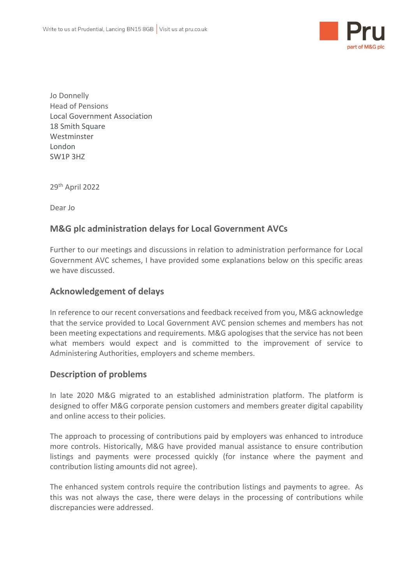

Jo Donnelly Head of Pensions Local Government Association 18 Smith Square Westminster London SW1P 3HZ

29th April 2022

Dear Jo

## **M&G plc administration delays for Local Government AVCs**

Further to our meetings and discussions in relation to administration performance for Local Government AVC schemes, I have provided some explanations below on this specific areas we have discussed.

## **Acknowledgement of delays**

In reference to our recent conversations and feedback received from you, M&G acknowledge that the service provided to Local Government AVC pension schemes and members has not been meeting expectations and requirements. M&G apologises that the service has not been what members would expect and is committed to the improvement of service to Administering Authorities, employers and scheme members.

## **Description of problems**

In late 2020 M&G migrated to an established administration platform. The platform is designed to offer M&G corporate pension customers and members greater digital capability and online access to their policies.

The approach to processing of contributions paid by employers was enhanced to introduce more controls. Historically, M&G have provided manual assistance to ensure contribution listings and payments were processed quickly (for instance where the payment and contribution listing amounts did not agree).

The enhanced system controls require the contribution listings and payments to agree. As this was not always the case, there were delays in the processing of contributions while discrepancies were addressed.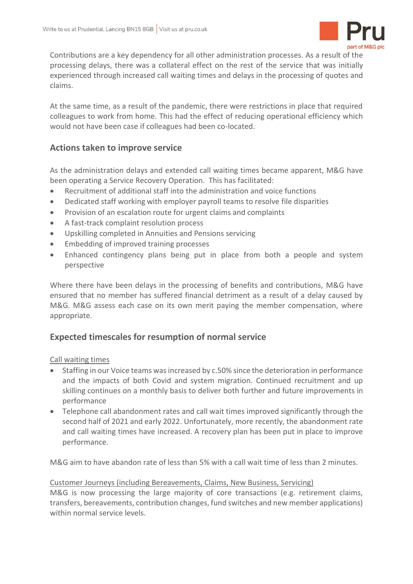

Contributions are a key dependency for all other administration processes. As a result of the processing delays, there was a collateral effect on the rest of the service that was initially experienced through increased call waiting times and delays in the processing of quotes and claims.

At the same time, as a result of the pandemic, there were restrictions in place that required colleagues to work from home. This had the effect of reducing operational efficiency which would not have been case if colleagues had been co-located.

# **Actions taken to improve service**

As the administration delays and extended call waiting times became apparent, M&G have been operating a Service Recovery Operation. This has facilitated:

- Recruitment of additional staff into the administration and voice functions
- Dedicated staff working with employer payroll teams to resolve file disparities
- Provision of an escalation route for urgent claims and complaints
- A fast-track complaint resolution process
- Upskilling completed in Annuities and Pensions servicing
- Embedding of improved training processes
- Enhanced contingency plans being put in place from both a people and system perspective

Where there have been delays in the processing of benefits and contributions, M&G have ensured that no member has suffered financial detriment as a result of a delay caused by M&G. M&G assess each case on its own merit paying the member compensation, where appropriate.

## **Expected timescales for resumption of normal service**

## Call waiting times

- Staffing in our Voice teams wasincreased by c.50% since the deterioration in performance and the impacts of both Covid and system migration. Continued recruitment and up skilling continues on a monthly basis to deliver both further and future improvements in performance
- Telephone call abandonment rates and call wait times improved significantly through the second half of 2021 and early 2022. Unfortunately, more recently, the abandonment rate and call waiting times have increased. A recovery plan has been put in place to improve performance.

M&G aim to have abandon rate of less than 5% with a call wait time of less than 2 minutes.

#### Customer Journeys (including Bereavements, Claims, New Business, Servicing)

M&G is now processing the large majority of core transactions (e.g. retirement claims, transfers, bereavements, contribution changes, fund switches and new member applications) within normal service levels.